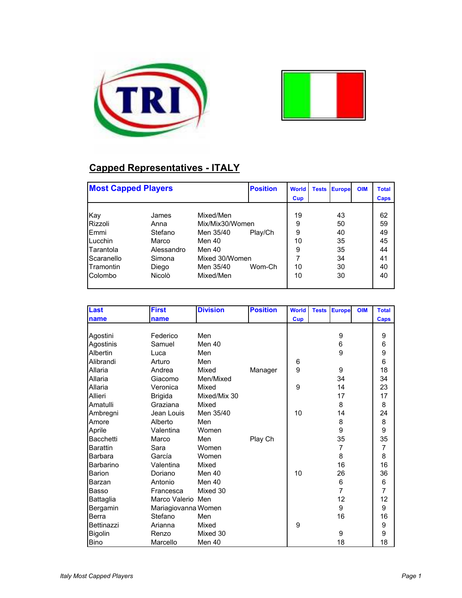



## **Capped Representatives - ITALY**

| <b>Most Capped Players</b> |            |                 | <b>Position</b> | <b>World</b> | <b>Tests</b> | <b>Europe</b> | <b>OIM</b> | <b>Total</b> |
|----------------------------|------------|-----------------|-----------------|--------------|--------------|---------------|------------|--------------|
|                            |            |                 |                 | Cup          |              |               |            | Caps         |
|                            |            |                 |                 |              |              |               |            |              |
| Kay                        | James      | Mixed/Men       |                 | 19           |              | 43            |            | 62           |
| Rizzoli                    | Anna       | Mix/Mix30/Women |                 | 9            |              | 50            |            | 59           |
| <b>IEmmi</b>               | Stefano    | Men 35/40       | Play/Ch         | 9            |              | 40            |            | 49           |
| Lucchin                    | Marco      | Men 40          |                 | 10           |              | 35            |            | 45           |
| Tarantola                  | Alessandro | Men 40          |                 | 9            |              | 35            |            | 44           |
| Scaranello                 | Simona     | Mixed 30/Women  |                 |              |              | 34            |            | 41           |
| <b>Tramontin</b>           | Diego      | Men 35/40       | Wom-Ch          | 10           |              | 30            |            | 40           |
| Colombo                    | Nicolò     | Mixed/Men       |                 | 10           |              | 30            |            | 40           |
|                            |            |                 |                 |              |              |               |            |              |

| Last              | <b>First</b>        | <b>Division</b> | <b>Position</b> | <b>World</b> | <b>Tests</b> | <b>Europe</b>  | <b>OIM</b> | <b>Total</b>   |
|-------------------|---------------------|-----------------|-----------------|--------------|--------------|----------------|------------|----------------|
| name              | name                |                 |                 | <b>Cup</b>   |              |                |            | Caps           |
|                   |                     |                 |                 |              |              |                |            |                |
| Agostini          | Federico            | Men             |                 |              |              | 9              |            | 9              |
| Agostinis         | Samuel              | Men 40          |                 |              |              | 6              |            | $\,6$          |
| Albertin          | Luca                | Men             |                 |              |              | 9              |            | 9              |
| Alibrandi         | Arturo              | Men             |                 | 6            |              |                |            | 6              |
| Allaria           | Andrea              | Mixed           | Manager         | 9            |              | 9              |            | 18             |
| Allaria           | Giacomo             | Men/Mixed       |                 |              |              | 34             |            | 34             |
| Allaria           | Veronica            | Mixed           |                 | 9            |              | 14             |            | 23             |
| Allieri           | <b>Brigida</b>      | Mixed/Mix 30    |                 |              |              | 17             |            | 17             |
| Amatulli          | Graziana            | Mixed           |                 |              |              | 8              |            | 8              |
| Ambregni          | Jean Louis          | Men 35/40       |                 | 10           |              | 14             |            | 24             |
| Amore             | Alberto             | Men             |                 |              |              | 8              |            | 8              |
| Aprile            | Valentina           | Women           |                 |              |              | 9              |            | 9              |
| Bacchetti         | Marco               | Men             | Play Ch         |              |              | 35             |            | 35             |
| <b>Barattin</b>   | Sara                | Women           |                 |              |              | $\overline{7}$ |            | $\overline{7}$ |
| Barbara           | García              | Women           |                 |              |              | 8              |            | 8              |
| Barbarino         | Valentina           | Mixed           |                 |              |              | 16             |            | 16             |
| <b>Barion</b>     | Doriano             | Men 40          |                 | 10           |              | 26             |            | 36             |
| Barzan            | Antonio             | Men 40          |                 |              |              | 6              |            | 6              |
| Basso             | Francesca           | Mixed 30        |                 |              |              | $\overline{7}$ |            | $\overline{7}$ |
| Battaglia         | Marco Valerio Men   |                 |                 |              |              | 12             |            | 12             |
| Bergamin          | Mariagiovanna Women |                 |                 |              |              | 9              |            | 9              |
| Berra             | Stefano             | Men             |                 |              |              | 16             |            | 16             |
| <b>Bettinazzi</b> | Arianna             | Mixed           |                 | 9            |              |                |            | 9              |
| Bigolin           | Renzo               | Mixed 30        |                 |              |              | 9              |            | 9              |
| <b>Bino</b>       | Marcello            | Men 40          |                 |              |              | 18             |            | 18             |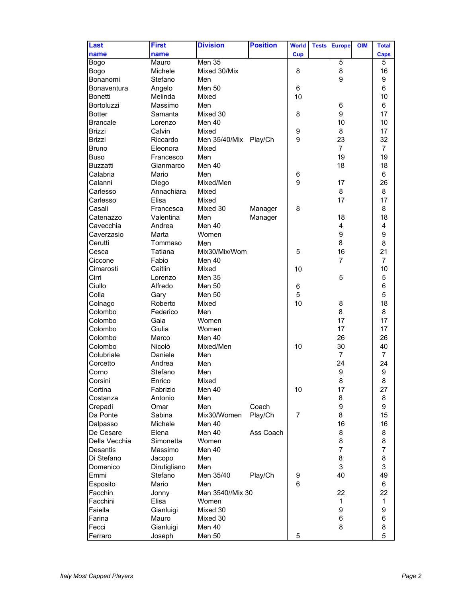| Last            | <b>First</b> | <b>Division</b>  | <b>Position</b> | <b>World</b> | <b>Tests</b> | <b>Europe</b>  | <b>OIM</b> | <b>Total</b>   |
|-----------------|--------------|------------------|-----------------|--------------|--------------|----------------|------------|----------------|
| name            | name         |                  |                 | <b>Cup</b>   |              |                |            | Caps           |
| Bogo            | Mauro        | Men 35           |                 |              |              | 5              |            | 5              |
| Bogo            | Michele      | Mixed 30/Mix     |                 | 8            |              | 8              |            | 16             |
| Bonanomi        | Stefano      | Men              |                 |              |              | 9              |            | 9              |
| Bonaventura     |              | <b>Men 50</b>    |                 |              |              |                |            | 6              |
|                 | Angelo       |                  |                 | 6            |              |                |            |                |
| <b>Bonetti</b>  | Melinda      | Mixed            |                 | 10           |              |                |            | 10             |
| Bortoluzzi      | Massimo      | Men              |                 |              |              | 6              |            | 6              |
| <b>Botter</b>   | Samanta      | Mixed 30         |                 | 8            |              | 9              |            | 17             |
| <b>Brancale</b> | Lorenzo      | Men 40           |                 |              |              | 10             |            | 10             |
| <b>Brizzi</b>   | Calvin       | Mixed            |                 | 9            |              | 8              |            | 17             |
| <b>Brizzi</b>   | Riccardo     | Men 35/40/Mix    | Play/Ch         | 9            |              | 23             |            | 32             |
| <b>Bruno</b>    | Eleonora     | Mixed            |                 |              |              | $\overline{7}$ |            | $\overline{7}$ |
| <b>Buso</b>     | Francesco    | Men              |                 |              |              | 19             |            | 19             |
| <b>Buzzatti</b> | Gianmarco    | Men 40           |                 |              |              | 18             |            | 18             |
| Calabria        | Mario        | Men              |                 | 6            |              |                |            | 6              |
| Calanni         | Diego        | Mixed/Men        |                 | 9            |              | 17             |            | 26             |
| Carlesso        | Annachiara   | Mixed            |                 |              |              | 8              |            | 8              |
| Carlesso        | Flisa        | Mixed            |                 |              |              | 17             |            | 17             |
| Casali          | Francesca    | Mixed 30         | Manager         | 8            |              |                |            | 8              |
| Catenazzo       | Valentina    | Men              | Manager         |              |              | 18             |            | 18             |
| Cavecchia       | Andrea       | Men $40$         |                 |              |              | 4              |            | 4              |
|                 |              |                  |                 |              |              |                |            | 9              |
| Caverzasio      | Marta        | Women            |                 |              |              | 9              |            |                |
| Cerutti         | Tommaso      | Men              |                 |              |              | 8              |            | 8              |
| Cesca           | Tatiana      | Mix30/Mix/Wom    |                 | 5            |              | 16             |            | 21             |
| Ciccone         | Fabio        | Men 40           |                 |              |              | $\overline{7}$ |            | 7              |
| Cimarosti       | Caitlin      | Mixed            |                 | 10           |              |                |            | 10             |
| Cirri           | Lorenzo      | <b>Men 35</b>    |                 |              |              | 5              |            | 5              |
| Ciullo          | Alfredo      | <b>Men 50</b>    |                 | 6            |              |                |            | 6              |
| Colla           | Gary         | <b>Men 50</b>    |                 | 5            |              |                |            | 5              |
| Colnago         | Roberto      | Mixed            |                 | 10           |              | 8              |            | 18             |
| Colombo         | Federico     | Men              |                 |              |              | 8              |            | 8              |
| Colombo         | Gaia         | Women            |                 |              |              | 17             |            | 17             |
| Colombo         | Giulia       | Women            |                 |              |              | 17             |            | 17             |
| Colombo         | Marco        | Men 40           |                 |              |              | 26             |            | 26             |
| Colombo         | Nicolò       | Mixed/Men        |                 | 10           |              | 30             |            | 40             |
| Colubriale      | Daniele      | Men              |                 |              |              | $\overline{7}$ |            | 7              |
| Corcetto        | Andrea       | Men              |                 |              |              | 24             |            | 24             |
| Corno           | Stefano      | Men              |                 |              |              | 9              |            | 9              |
| Corsini         | Enrico       | Mixed            |                 |              |              | 8              |            | 8              |
| Cortina         | Fabrizio     | Men 40           |                 | 10           |              | 17             |            | 27             |
|                 |              |                  |                 |              |              | 8              |            |                |
| Costanza        | Antonio      | Men              |                 |              |              |                |            | 8              |
| Crepadi         | Omar         | Men              | Coach           |              |              | 9              |            | 9              |
| Da Ponte        | Sabina       | Mix30/Women      | Play/Ch         | 7            |              | 8              |            | 15             |
| Dalpasso        | Michele      | Men 40           |                 |              |              | 16             |            | 16             |
| De Cesare       | Elena        | Men 40           | Ass Coach       |              |              | 8              |            | 8              |
| Della Vecchia   | Simonetta    | Women            |                 |              |              | 8              |            | 8              |
| Desantis        | Massimo      | Men 40           |                 |              |              | $\overline{7}$ |            | 7              |
| Di Stefano      | Jacopo       | Men              |                 |              |              | 8              |            | 8              |
| Domenico        | Dirutigliano | Men              |                 |              |              | 3              |            | 3              |
| Emmi            | Stefano      | Men 35/40        | Play/Ch         | 9            |              | 40             |            | 49             |
| Esposito        | Mario        | Men              |                 | 6            |              |                |            | 6              |
| Facchin         | Jonny        | Men 3540//Mix 30 |                 |              |              | 22             |            | 22             |
| Facchini        | Elisa        | Women            |                 |              |              | 1              |            | $\mathbf{1}$   |
| Faiella         | Gianluigi    | Mixed 30         |                 |              |              | 9              |            | 9              |
| Farina          | Mauro        | Mixed 30         |                 |              |              | 6              |            | 6              |
| Fecci           | Gianluigi    | Men 40           |                 |              |              | 8              |            | 8              |
| Ferraro         | Joseph       | Men 50           |                 | 5            |              |                |            | 5              |
|                 |              |                  |                 |              |              |                |            |                |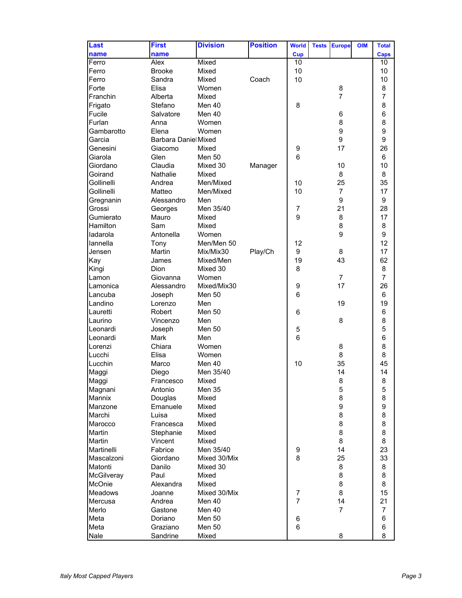| Last           | <b>First</b>               | <b>Division</b> | <b>Position</b> | <b>World</b>   | <b>Tests</b> | <b>Europe</b>  | <b>OIM</b> | <b>Total</b>   |
|----------------|----------------------------|-----------------|-----------------|----------------|--------------|----------------|------------|----------------|
| name           | name                       |                 |                 | Cup            |              |                |            | Caps           |
| Ferro          | Alex                       | Mixed           |                 | 10             |              |                |            | 10             |
| Ferro          | <b>Brooke</b>              | Mixed           |                 | 10             |              |                |            | 10             |
| Ferro          | Sandra                     | Mixed           | Coach           | 10             |              |                |            | 10             |
| Forte          | Elisa                      | Women           |                 |                |              | 8              |            | 8              |
| Franchin       | Alberta                    | Mixed           |                 |                |              | $\overline{7}$ |            | 7              |
| Frigato        | Stefano                    | Men 40          |                 | 8              |              |                |            | 8              |
| Fucile         | Salvatore                  | Men 40          |                 |                |              | 6              |            | 6              |
| Furlan         | Anna                       | Women           |                 |                |              | 8              |            | 8              |
| Gambarotto     | Elena                      | Women           |                 |                |              | 9              |            | 9              |
| Garcia         | <b>Barbara Danie Mixed</b> |                 |                 |                |              | 9              |            | 9              |
| Genesini       | Giacomo                    | Mixed           |                 | 9              |              | 17             |            | 26             |
| Giarola        | Glen                       | <b>Men 50</b>   |                 | 6              |              |                |            | 6              |
| Giordano       | Claudia                    | Mixed 30        | Manager         |                |              | 10             |            | 10             |
| Goirand        | <b>Nathalie</b>            | Mixed           |                 |                |              | 8              |            | 8              |
| Gollinelli     | Andrea                     | Men/Mixed       |                 | 10             |              | 25             |            | 35             |
| Gollinelli     | Matteo                     | Men/Mixed       |                 | 10             |              | $\overline{7}$ |            | 17             |
| Gregnanin      | Alessandro                 | Men             |                 |                |              | 9              |            | 9              |
| Grossi         |                            | Men 35/40       |                 | $\overline{7}$ |              | 21             |            | 28             |
| Gumierato      | Georges<br>Mauro           | Mixed           |                 | 9              |              | 8              |            | 17             |
| Hamilton       | Sam                        | Mixed           |                 |                |              | 8              |            | 8              |
|                |                            | Women           |                 |                |              | 9              |            | 9              |
| ladarola       | Antonella                  |                 |                 |                |              |                |            | 12             |
| lannella       | Tony                       | Men/Men 50      |                 | 12             |              |                |            |                |
| Jensen         | Martin                     | Mix/Mix30       | Play/Ch         | 9              |              | 8              |            | 17             |
| Kay            | James                      | Mixed/Men       |                 | 19             |              | 43             |            | 62             |
| Kingi          | Dion                       | Mixed 30        |                 | 8              |              |                |            | 8              |
| Lamon          | Giovanna                   | Women           |                 |                |              | $\overline{7}$ |            | $\overline{7}$ |
| Lamonica       | Alessandro                 | Mixed/Mix30     |                 | 9              |              | 17             |            | 26             |
| Lancuba        | Joseph                     | Men 50          |                 | 6              |              |                |            | 6              |
| Landino        | Lorenzo                    | Men             |                 |                |              | 19             |            | 19             |
| Lauretti       | Robert                     | <b>Men 50</b>   |                 | 6              |              |                |            | 6              |
| Laurino        | Vincenzo                   | Men             |                 |                |              | 8              |            | 8              |
| Leonardi       | Joseph                     | Men 50          |                 | 5              |              |                |            | 5              |
| Leonardi       | Mark                       | Men             |                 | 6              |              |                |            | 6              |
| Lorenzi        | Chiara                     | Women           |                 |                |              | 8              |            | 8              |
| Lucchi         | Elisa                      | Women           |                 |                |              | 8              |            | 8              |
| Lucchin        | Marco                      | Men 40          |                 | 10             |              | 35             |            | 45             |
| Maggi          | Diego                      | Men 35/40       |                 |                |              | 14             |            | 14             |
| Maggi          | Francesco                  | Mixed           |                 |                |              | 8              |            | 8              |
| Magnani        | Antonio                    | Men 35          |                 |                |              | 5              |            | 5              |
| Mannix         | Douglas                    | Mixed           |                 |                |              | 8              |            | 8              |
| Manzone        | Emanuele                   | Mixed           |                 |                |              | 9              |            | 9              |
| Marchi         | Luisa                      | Mixed           |                 |                |              | 8              |            | 8              |
| Marocco        | Francesca                  | Mixed           |                 |                |              | 8              |            | 8              |
| Martin         | Stephanie                  | Mixed           |                 |                |              | 8              |            | 8              |
| Martin         | Vincent                    | Mixed           |                 |                |              | 8              |            | 8              |
| Martinelli     | Fabrice                    | Men 35/40       |                 | 9              |              | 14             |            | 23             |
| Mascalzoni     | Giordano                   | Mixed 30/Mix    |                 | 8              |              | 25             |            | 33             |
| Matonti        | Danilo                     | Mixed 30        |                 |                |              | 8              |            | 8              |
| McGilveray     | Paul                       | Mixed           |                 |                |              | 8              |            | 8              |
| McOnie         | Alexandra                  | Mixed           |                 |                |              | 8              |            | 8              |
| <b>Meadows</b> | Joanne                     | Mixed 30/Mix    |                 | 7              |              | 8              |            | 15             |
| Mercusa        | Andrea                     | Men 40          |                 | $\overline{7}$ |              | 14             |            | 21             |
| Merlo          | Gastone                    | Men 40          |                 |                |              | $\overline{7}$ |            | 7              |
| Meta           | Doriano                    | <b>Men 50</b>   |                 | 6              |              |                |            | 6              |
| Meta           | Graziano                   | <b>Men 50</b>   |                 | 6              |              |                |            | 6              |
| Nale           | Sandrine                   | Mixed           |                 |                |              | 8              |            | 8              |
|                |                            |                 |                 |                |              |                |            |                |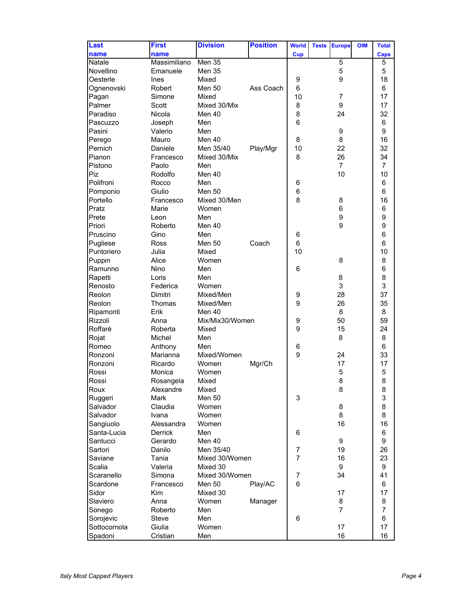| <b>Last</b>          | <b>First</b>   | <b>Division</b> | <b>Position</b> | <b>World</b>   | <b>Tests</b> | <b>Europe</b>  | <b>OIM</b> | <b>Total</b>   |
|----------------------|----------------|-----------------|-----------------|----------------|--------------|----------------|------------|----------------|
| name                 | name           |                 |                 | <b>Cup</b>     |              |                |            | <b>Caps</b>    |
| Natale               | Massimiliano   | Men 35          |                 |                |              | 5              |            | 5              |
| Novellino            | Emanuele       | Men 35          |                 |                |              | 5              |            | 5              |
| Oesterle             | Ines           | Mixed           |                 | 9              |              | 9              |            | 18             |
| Ognenovski           | Robert         | Men 50          | Ass Coach       | $\,6$          |              |                |            | 6              |
| Pagan                | Simone         | Mixed           |                 | 10             |              | $\overline{7}$ |            | 17             |
| Palmer               | Scott          | Mixed 30/Mix    |                 | 8              |              | 9              |            | 17             |
| Paradiso             | Nicola         | Men 40          |                 | 8              |              | 24             |            | 32             |
| Pascuzzo             | Joseph         | Men             |                 | 6              |              |                |            | 6              |
| Pasini               | Valerio        | Men             |                 |                |              | 9              |            | 9              |
| Perego               | Mauro          | Men 40          |                 | 8              |              | 8              |            | 16             |
| Pernich              | Daniele        | Men 35/40       | Play/Mgr        | 10             |              | 22             |            | 32             |
| Pianon               | Francesco      | Mixed 30/Mix    |                 | 8              |              | 26             |            | 34             |
|                      |                |                 |                 |                |              | $\overline{7}$ |            | $\overline{7}$ |
| Pistono              | Paolo          | Men             |                 |                |              |                |            |                |
| Piz                  | Rodolfo        | Men 40          |                 |                |              | 10             |            | 10             |
| Polifroni            | Rocco          | Men             |                 | 6              |              |                |            | 6              |
| Pomponio             | Giulio         | <b>Men 50</b>   |                 | 6              |              |                |            | 6              |
| Portello             | Francesco      | Mixed 30/Men    |                 | 8              |              | 8              |            | 16             |
| Pratz                | Marie          | Women           |                 |                |              | 6              |            | 6              |
| Prete                | Leon           | Men             |                 |                |              | 9              |            | 9              |
| Priori               | Roberto        | Men $40$        |                 |                |              | 9              |            | 9              |
| Pruscino             | Gino           | Men             |                 | 6              |              |                |            | 6              |
| Pugliese             | Ross           | <b>Men 50</b>   | Coach           | 6              |              |                |            | 6              |
| Puntoriero           | Julia          | Mixed           |                 | 10             |              |                |            | 10             |
| Puppin               | Alice          | Women           |                 |                |              | 8              |            | 8              |
| Ramunno              | Nino           | Men             |                 | 6              |              |                |            | 6              |
| Rapetti              | Loris          | Men             |                 |                |              | 8              |            | 8              |
| Renosto              | Federica       | Women           |                 |                |              | 3              |            | 3              |
| Reolon               | Dimitri        | Mixed/Men       |                 | 9              |              | 28             |            | 37             |
| Reolon               | Thomas         | Mixed/Men       |                 | 9              |              | 26             |            | 35             |
| Ripamonti            | Erik           | Men 40          |                 |                |              | 8              |            | 8              |
| Rizzoli              | Anna           | Mix/Mix30/Women |                 | 9              |              | 50             |            | 59             |
| Roffarè              | Roberta        | Mixed           |                 | 9              |              | 15             |            | 24             |
| Rojat                | Michel         | Men             |                 |                |              | 8              |            | 8              |
| Romeo                | Anthony        | Men             |                 | 6              |              |                |            | 6              |
| Ronzoni              | Marianna       | Mixed/Women     |                 | 9              |              | 24             |            | 33             |
| Ronzoni              | Ricardo        | Women           | Mgr/Ch          |                |              | 17             |            | 17             |
| Rossi                | Monica         | Women           |                 |                |              | 5              |            | 5              |
| Rossi                | Rosangela      | Mixed           |                 |                |              | 8              |            | 8              |
| Roux                 | Alexandre      | Mixed           |                 |                |              | 8              |            | 8              |
| Ruggeri              | Mark           | <b>Men 50</b>   |                 | 3              |              |                |            | 3              |
| Salvador             | Claudia        | Women           |                 |                |              | 8              |            | 8              |
| Salvador             | Ivana          | Women           |                 |                |              | 8              |            | 8              |
| Sangiuolo            | Alessandra     | Women           |                 |                |              | 16             |            | 16             |
| Santa-Lucia          | <b>Derrick</b> | Men             |                 | 6              |              |                |            | 6              |
| Santucci             | Gerardo        | Men 40          |                 |                |              | 9              |            | 9              |
| Sartori              | Danilo         | Men 35/40       |                 | 7              |              | 19             |            | 26             |
| Saviane              | Tania          |                 |                 | $\overline{7}$ |              |                |            | 23             |
|                      |                | Mixed 30/Women  |                 |                |              | 16             |            |                |
| Scalia<br>Scaranello | Valeria        | Mixed 30        |                 |                |              | 9              |            | 9              |
|                      | Simona         | Mixed 30/Women  |                 | $\overline{7}$ |              | 34             |            | 41             |
| Scardone             | Francesco      | <b>Men 50</b>   | Play/AC         | 6              |              |                |            | 6              |
| Sidor                | Kim            | Mixed 30        |                 |                |              | 17             |            | 17             |
| Slaviero             | Anna           | Women           | Manager         |                |              | 8              |            | 8              |
| Sonego               | Roberto        | Men             |                 |                |              | $\overline{7}$ |            | $\overline{7}$ |
| Sorojevic            | Steve          | Men             |                 | 6              |              |                |            | 6              |
| Sottocornola         | Giulia         | Women           |                 |                |              | 17             |            | 17             |
| Spadoni              | Cristian       | Men             |                 |                |              | 16             |            | 16             |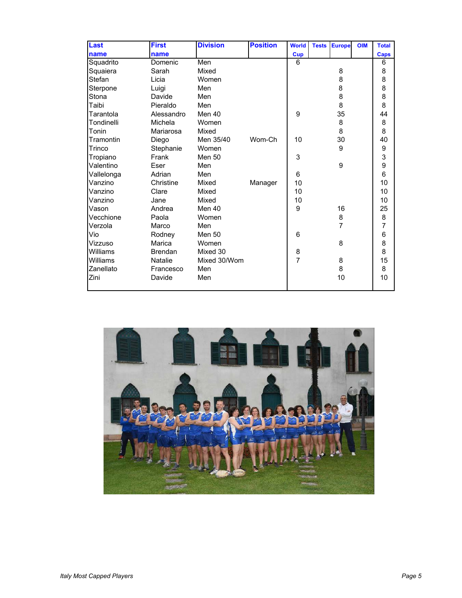| <b>Last</b> | <b>First</b>   | <b>Division</b> | <b>Position</b> | <b>World</b>   | <b>Tests</b> | <b>Europe</b>  | <b>OIM</b> | <b>Total</b>   |
|-------------|----------------|-----------------|-----------------|----------------|--------------|----------------|------------|----------------|
| name        | name           |                 |                 | <b>Cup</b>     |              |                |            | <b>Caps</b>    |
| Squadrito   | Domenic        | Men             |                 | 6              |              |                |            | 6              |
| Squaiera    | Sarah          | Mixed           |                 |                |              | 8              |            | 8              |
| Stefan      | Licia          | Women           |                 |                |              | 8              |            | 8              |
| Sterpone    | Luigi          | Men             |                 |                |              | 8              |            | 8              |
| Stona       | Davide         | Men             |                 |                |              | 8              |            | 8              |
| Taibi       | Pieraldo       | Men             |                 |                |              | 8              |            | 8              |
| Tarantola   | Alessandro     | Men 40          |                 | 9              |              | 35             |            | 44             |
| Tondinelli  | Michela        | Women           |                 |                |              | 8              |            | 8              |
| Tonin       | Mariarosa      | Mixed           |                 |                |              | 8              |            | 8              |
| Tramontin   | Diego          | Men 35/40       | Wom-Ch          | 10             |              | 30             |            | 40             |
| Trinco      | Stephanie      | Women           |                 |                |              | 9              |            | $\frac{9}{3}$  |
| Tropiano    | Frank          | Men 50          |                 | 3              |              |                |            |                |
| Valentino   | Eser           | Men             |                 |                |              | 9              |            | 9<br>6         |
| Vallelonga  | Adrian         | Men             |                 | 6              |              |                |            |                |
| Vanzino     | Christine      | Mixed           | Manager         | 10             |              |                |            | 10             |
| Vanzino     | Clare          | Mixed           |                 | 10             |              |                |            | 10             |
| Vanzino     | Jane           | Mixed           |                 | 10             |              |                |            | 10             |
| Vason       | Andrea         | Men 40          |                 | 9              |              | 16             |            | 25             |
| Vecchione   | Paola          | Women           |                 |                |              | 8              |            | 8              |
| Verzola     | Marco          | Men             |                 |                |              | $\overline{7}$ |            | $\overline{7}$ |
| Vio         | Rodney         | <b>Men 50</b>   |                 | 6              |              |                |            | 6              |
| Vizzuso     | Marica         | Women           |                 |                |              | 8              |            | 8              |
| Williams    | <b>Brendan</b> | Mixed 30        |                 | 8              |              |                |            | 8              |
| Williams    | <b>Natalie</b> | Mixed 30/Wom    |                 | $\overline{7}$ |              | 8              |            | 15             |
| Zanellato   | Francesco      | Men             |                 |                |              | 8              |            | 8              |
| Zini        | Davide         | Men             |                 |                |              | 10             |            | 10             |
|             |                |                 |                 |                |              |                |            |                |

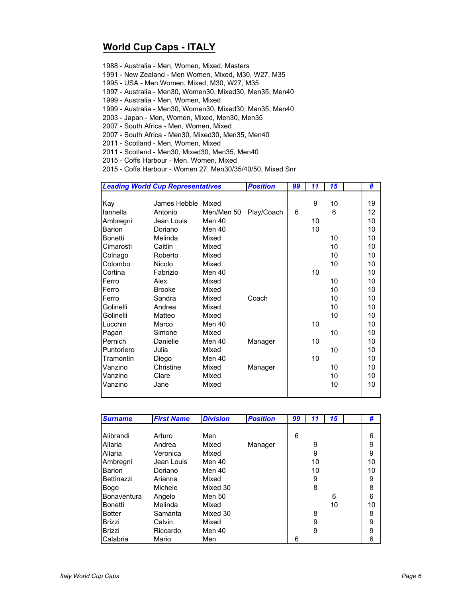## **World Cup Caps - ITALY**

1988 - Australia - Men, Women, Mixed, Masters

1991 - New Zealand - Men Women, Mixed, M30, W27, M35

1995 - USA - Men Women, Mixed, M30, W27, M35

1997 - Australia - Men30, Women30, Mixed30, Men35, Men40

1999 - Australia - Men, Women, Mixed

1999 - Australia - Men30, Women30, Mixed30, Men35, Men40

2003 - Japan - Men, Women, Mixed, Men30, Men35

2007 - South Africa - Men, Women, Mixed

2007 - South Africa - Men30, Mixed30, Men35, Men40

2011 - Scotland - Men, Women, Mixed

2011 - Scotland - Men30, Mixed30, Men35, Men40

2015 - Coffs Harbour - Men, Women, Mixed

2015 - Coffs Harbour - Women 27, Men30/35/40/50, Mixed Snr

|                | <b>Leading World Cup Representatives</b> |            | <b>Position</b> | 99 | 11 | 15 | #                 |
|----------------|------------------------------------------|------------|-----------------|----|----|----|-------------------|
|                |                                          |            |                 |    |    |    |                   |
| Kay            | James Hebble Mixed                       |            |                 |    | 9  | 10 | 19                |
| lannella       | Antonio                                  | Men/Men 50 | Play/Coach      | 6  |    | 6  | $12 \overline{ }$ |
| Ambregni       | Jean Louis                               | Men 40     |                 |    | 10 |    | 10                |
| <b>Barion</b>  | Doriano                                  | Men 40     |                 |    | 10 |    | 10                |
| <b>Bonetti</b> | Melinda                                  | Mixed      |                 |    |    | 10 | 10                |
| Cimarosti      | Caitlin                                  | Mixed      |                 |    |    | 10 | 10                |
| Colnago        | Roberto                                  | Mixed      |                 |    |    | 10 | 10                |
| Colombo        | Nicolo                                   | Mixed      |                 |    |    | 10 | 10                |
| Cortina        | Fabrizio                                 | Men 40     |                 |    | 10 |    | 10                |
| Ferro          | Alex                                     | Mixed      |                 |    |    | 10 | 10                |
| Ferro          | <b>Brooke</b>                            | Mixed      |                 |    |    | 10 | 10                |
| Ferro          | Sandra                                   | Mixed      | Coach           |    |    | 10 | 10                |
| Golinelli      | Andrea                                   | Mixed      |                 |    |    | 10 | 10                |
| Golinelli      | Matteo                                   | Mixed      |                 |    |    | 10 | 10                |
| Lucchin        | Marco                                    | Men 40     |                 |    | 10 |    | 10                |
| Pagan          | Simone                                   | Mixed      |                 |    |    | 10 | 10                |
| Pernich        | Danielie                                 | Men 40     | Manager         |    | 10 |    | 10                |
| Puntoriero     | Julia                                    | Mixed      |                 |    |    | 10 | 10                |
| Tramontin      | Diego                                    | Men 40     |                 |    | 10 |    | 10                |
| Vanzino        | Christine                                | Mixed      | Manager         |    |    | 10 | 10                |
| Vanzino        | Clare                                    | Mixed      |                 |    |    | 10 | 10                |
| Vanzino        | Jane                                     | Mixed      |                 |    |    | 10 | 10                |
|                |                                          |            |                 |    |    |    |                   |

| <b>Surname</b>     | <b>First Name</b> | <b>Division</b> | <b>Position</b> | 99 | 11 | 15 | #  |
|--------------------|-------------------|-----------------|-----------------|----|----|----|----|
|                    |                   |                 |                 |    |    |    |    |
| Alibrandi          | Arturo            | Men             |                 | 6  |    |    | 6  |
| Allaria            | Andrea            | Mixed           | Manager         |    | 9  |    | 9  |
| Allaria            | Veronica          | Mixed           |                 |    | 9  |    | 9  |
| Ambregni           | Jean Louis        | Men 40          |                 |    | 10 |    | 10 |
| <b>Barion</b>      | Doriano           | Men 40          |                 |    | 10 |    | 10 |
| Bettinazzi         | Arianna           | Mixed           |                 |    | 9  |    | 9  |
| Bogo               | Michele           | Mixed 30        |                 |    | 8  |    | 8  |
| <b>Bonaventura</b> | Angelo            | Men 50          |                 |    |    | 6  | 6  |
| Bonetti            | Melinda           | Mixed           |                 |    |    | 10 | 10 |
| <b>Botter</b>      | Samanta           | Mixed 30        |                 |    | 8  |    | 8  |
| Brizzi             | Calvin            | Mixed           |                 |    | 9  |    | 9  |
| Brizzi             | Riccardo          | Men 40          |                 |    | 9  |    | 9  |
| Calabria           | Mario             | Men             |                 | 6  |    |    | 6  |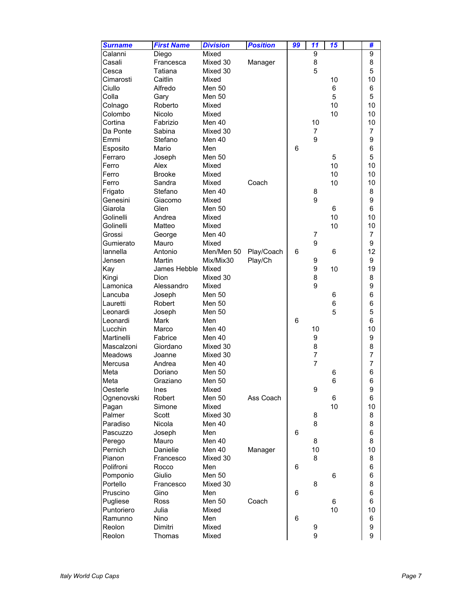| <b>Surname</b> | <b>First Name</b>  | <b>Division</b> | <b>Position</b> | 99 | 11             | 15 | #              |
|----------------|--------------------|-----------------|-----------------|----|----------------|----|----------------|
| Calanni        | Diego              | Mixed           |                 |    | 9              |    | 9              |
| Casali         | Francesca          | Mixed 30        | Manager         |    | 8              |    | 8              |
| Cesca          | Tatiana            | Mixed 30        |                 |    | 5              |    | 5              |
| Cimarosti      | Caitlin            | Mixed           |                 |    |                | 10 | 10             |
| Ciullo         | Alfredo            | <b>Men 50</b>   |                 |    |                | 6  | 6              |
| Colla          | Gary               | <b>Men 50</b>   |                 |    |                | 5  | 5              |
| Colnago        | Roberto            | Mixed           |                 |    |                | 10 | 10             |
| Colombo        | Nicolo             | Mixed           |                 |    |                | 10 | 10             |
| Cortina        | Fabrizio           | Men 40          |                 |    | 10             |    | 10             |
| Da Ponte       | Sabina             | Mixed 30        |                 |    | $\overline{7}$ |    | 7              |
| Emmi           | Stefano            | Men 40          |                 |    | 9              |    | 9              |
| Esposito       | Mario              | Men             |                 | 6  |                |    | 6              |
| Ferraro        | Joseph             | Men 50          |                 |    |                | 5  | 5              |
| Ferro          | Alex               | Mixed           |                 |    |                | 10 | 10             |
| Ferro          | <b>Brooke</b>      | Mixed           |                 |    |                | 10 | 10             |
| Ferro          | Sandra             | Mixed           | Coach           |    |                | 10 | 10             |
| Frigato        | Stefano            | Men 40          |                 |    | 8              |    | 8              |
| Genesini       | Giacomo            | Mixed           |                 |    | 9              |    | 9              |
| Giarola        | Glen               | <b>Men 50</b>   |                 |    |                | 6  | 6              |
| Golinelli      | Andrea             | Mixed           |                 |    |                | 10 | 10             |
| Golinelli      | Matteo             | Mixed           |                 |    |                | 10 | 10             |
| Grossi         | George             | Men 40          |                 |    | 7              |    | 7              |
| Gumierato      | Mauro              | Mixed           |                 |    | 9              |    | 9              |
| lannella       | Antonio            | Men/Men 50      | Play/Coach      | 6  |                | 6  | 12             |
| Jensen         | Martin             | Mix/Mix30       | Play/Ch         |    | 9              |    | 9              |
| Kay            | James Hebble Mixed |                 |                 |    | 9              | 10 | 19             |
| Kingi          | Dion               | Mixed 30        |                 |    | 8              |    | 8              |
| Lamonica       | Alessandro         | Mixed           |                 |    | 9              |    | 9              |
| Lancuba        | Joseph             | <b>Men 50</b>   |                 |    |                | 6  | 6              |
| Lauretti       | Robert             | <b>Men 50</b>   |                 |    |                | 6  | 6              |
| Leonardi       | Joseph             | Men 50          |                 |    |                | 5  | 5              |
| Leonardi       | Mark               | Men             |                 | 6  |                |    | 6              |
| Lucchin        | Marco              | Men 40          |                 |    | 10             |    | 10             |
| Martinelli     | Fabrice            | Men 40          |                 |    | 9              |    | 9              |
| Mascalzoni     | Giordano           | Mixed 30        |                 |    | 8              |    | 8              |
| Meadows        | Joanne             | Mixed 30        |                 |    | $\overline{7}$ |    | $\overline{7}$ |
| Mercusa        | Andrea             | Men 40          |                 |    | $\overline{7}$ |    | $\overline{7}$ |
| Meta           | Doriano            | Men 50          |                 |    |                | 6  | 6              |
| Meta           | Graziano           | Men 50          |                 |    |                | 6  | 6              |
| Oesterle       | Ines               | Mixed           |                 |    | 9              |    | 9              |
| Ognenovski     | Robert             | <b>Men 50</b>   | Ass Coach       |    |                | 6  | 6              |
| Pagan          | Simone             | Mixed           |                 |    |                | 10 | 10             |
| Palmer         | Scott              | Mixed 30        |                 |    | 8              |    | 8              |
| Paradiso       | Nicola             | Men 40          |                 |    | 8              |    | 8              |
| Pascuzzo       | Joseph             | Men             |                 | 6  |                |    | 6              |
| Perego         | Mauro              | Men 40          |                 |    | 8              |    | 8              |
| Pernich        | Danielie           | Men 40          | Manager         |    | 10             |    | 10             |
| Pianon         | Francesco          | Mixed 30        |                 |    | 8              |    | 8              |
| Polifroni      | Rocco              | Men             |                 | 6  |                |    | 6              |
| Pomponio       | Giulio             | <b>Men 50</b>   |                 |    |                | 6  | 6              |
| Portello       | Francesco          | Mixed 30        |                 |    | 8              |    | 8              |
| Pruscino       | Gino               | Men             |                 | 6  |                |    | 6              |
| Pugliese       | Ross               | Men 50          | Coach           |    |                | 6  | 6              |
| Puntoriero     | Julia              | Mixed           |                 |    |                | 10 | 10             |
| Ramunno        | Nino               | Men             |                 | 6  |                |    | 6              |
| Reolon         | Dimitri            | Mixed           |                 |    | 9              |    | 9              |
| Reolon         | Thomas             | Mixed           |                 |    | 9              |    | 9              |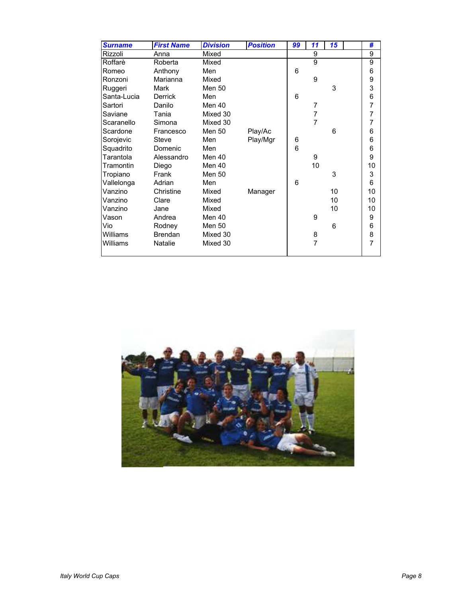| <b>Surname</b> | <b>First Name</b> | <b>Division</b> | <b>Position</b> | 99 | 11             | 15 | #               |
|----------------|-------------------|-----------------|-----------------|----|----------------|----|-----------------|
| Rizzoli        | Anna              | Mixed           |                 |    | 9              |    | 9               |
| Roffarè        | Roberta           | Mixed           |                 |    | $\overline{9}$ |    | 9               |
| Romeo          | Anthony           | Men             |                 | 6  |                |    | 6               |
| Ronzoni        | Marianna          | Mixed           |                 |    | 9              |    | 9               |
| Ruggeri        | Mark              | <b>Men 50</b>   |                 |    |                | 3  | 3               |
| Santa-Lucia    | <b>Derrick</b>    | Men             |                 | 6  |                |    | 6               |
| Sartori        | Danilo            | Men 40          |                 |    | 7              |    | $\overline{7}$  |
| Saviane        | Tania             | Mixed 30        |                 |    | 7              |    | 7               |
| Scaranello     | Simona            | Mixed 30        |                 |    | $\overline{7}$ |    | $\overline{7}$  |
| Scardone       | Francesco         | <b>Men 50</b>   | Play/Ac         |    |                | 6  | 6               |
| Sorojevic      | Steve             | Men             | Play/Mgr        | 6  |                |    | $6\phantom{1}6$ |
| Squadrito      | Domenic           | Men             |                 | 6  |                |    | 6               |
| Tarantola      | Alessandro        | Men 40          |                 |    | 9              |    | 9               |
| Tramontin      | Diego             | Men 40          |                 |    | 10             |    | 10              |
| Tropiano       | Frank             | Men 50          |                 |    |                | 3  | 3               |
| Vallelonga     | Adrian            | Men             |                 | 6  |                |    | $6\phantom{1}$  |
| Vanzino        | Christine         | Mixed           | Manager         |    |                | 10 | 10              |
| Vanzino        | Clare             | Mixed           |                 |    |                | 10 | 10              |
| Vanzino        | Jane              | Mixed           |                 |    |                | 10 | 10              |
| Vason          | Andrea            | Men 40          |                 |    | 9              |    | 9               |
| Vio            | Rodney            | Men 50          |                 |    |                | 6  | 6               |
| Williams       | <b>Brendan</b>    | Mixed 30        |                 |    | 8              |    | 8               |
| Williams       | <b>Natalie</b>    | Mixed 30        |                 |    | $\overline{7}$ |    | $\overline{7}$  |
|                |                   |                 |                 |    |                |    |                 |

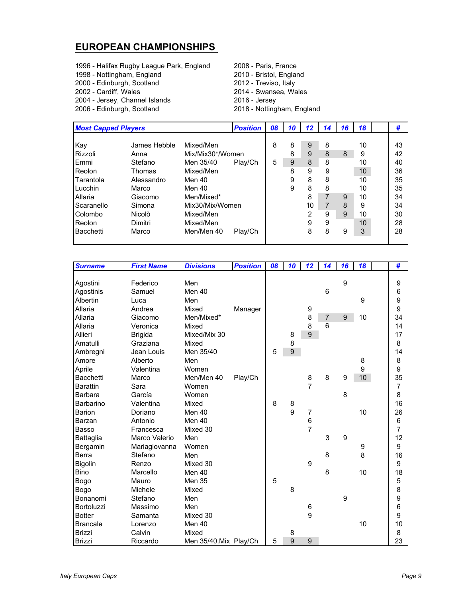## **EUROPEAN CHAMPIONSHIPS**

- 1996 Halifax Rugby League Park, England 2008 Paris, France
- 1998 Nottingham, England
- 
- 
- 2004 Jersey, Channel Islands 2016 Jersey
- 

2000 - Edinburgh, Scotland 2012 - Treviso, Italy 2002 - Cardiff, Wales 2014 - Swansea, Wales 2018 - Nottingham, England

|            | <b>Most Capped Players</b> |                  |         | 08 | 10 | 12 | 14 | 16 | 18 | #  |
|------------|----------------------------|------------------|---------|----|----|----|----|----|----|----|
|            |                            |                  |         |    |    |    |    |    |    |    |
| Kay        | James Hebble               | Mixed/Men        |         | 8  | 8  | 9  | 8  |    | 10 | 43 |
| Rizzoli    | Anna                       | Mix/Mix30*/Women |         |    | 8  | 9  | 8  | 8  | 9  | 42 |
| Emmi       | Stefano                    | Men 35/40        | Play/Ch | 5  | 9  | 8  | 8  |    | 10 | 40 |
| Reolon     | Thomas                     | Mixed/Men        |         |    | 8  | 9  | 9  |    | 10 | 36 |
| Tarantola  | Alessandro                 | Men 40           |         |    | 9  | 8  | 8  |    | 10 | 35 |
| Lucchin    | Marco                      | Men 40           |         |    | 9  | 8  | 8  |    | 10 | 35 |
| Allaria    | Giacomo                    | Men/Mixed*       |         |    |    | 8  |    | 9  | 10 | 34 |
| Scaranello | Simona                     | Mix30/Mix/Women  |         |    |    | 10 |    | 8  | 9  | 34 |
| Colombo    | Nicolò                     | Mixed/Men        |         |    |    | 2  | 9  | 9  | 10 | 30 |
| Reolon     | Dimitri                    | Mixed/Men        |         |    |    | 9  | 9  |    | 10 | 28 |
| Bacchetti  | Marco                      | Men/Men 40       | Play/Ch |    |    | 8  | 8  | 9  | 3  | 28 |
|            |                            |                  |         |    |    |    |    |    |    |    |

| <b>Surname</b>   | <b>First Name</b> | <b>Divisions</b>      | <b>Position</b> | 08 | 10 | 12               | 14             | 16 | 18 | #              |
|------------------|-------------------|-----------------------|-----------------|----|----|------------------|----------------|----|----|----------------|
|                  |                   |                       |                 |    |    |                  |                |    |    |                |
| Agostini         | Federico          | Men                   |                 |    |    |                  |                | 9  |    | 9              |
| Agostinis        | Samuel            | Men 40                |                 |    |    |                  | 6              |    |    | 6              |
| Albertin         | Luca              | Men                   |                 |    |    |                  |                |    | 9  | 9              |
| Allaria          | Andrea            | Mixed                 | Manager         |    |    | 9                |                |    |    | 9              |
| Allaria          | Giacomo           | Men/Mixed*            |                 |    |    | 8                | $\overline{7}$ | 9  | 10 | 34             |
| Allaria          | Veronica          | Mixed                 |                 |    |    | 8                | 6              |    |    | 14             |
| Allieri          | <b>Brigida</b>    | Mixed/Mix 30          |                 |    | 8  | 9                |                |    |    | 17             |
| Amatulli         | Graziana          | Mixed                 |                 |    | 8  |                  |                |    |    | 8              |
| Ambregni         | Jean Louis        | Men 35/40             |                 | 5  | 9  |                  |                |    |    | 14             |
| Amore            | Alberto           | Men                   |                 |    |    |                  |                |    | 8  | 8              |
| Aprile           | Valentina         | Women                 |                 |    |    |                  |                |    | 9  | 9              |
| <b>Bacchetti</b> | Marco             | Men/Men 40            | Play/Ch         |    |    | 8                | 8              | 9  | 10 | 35             |
| <b>Barattin</b>  | Sara              | Women                 |                 |    |    | $\overline{7}$   |                |    |    | 7              |
| Barbara          | García            | Women                 |                 |    |    |                  |                | 8  |    | 8              |
| Barbarino        | Valentina         | Mixed                 |                 | 8  | 8  |                  |                |    |    | 16             |
| <b>Barion</b>    | Doriano           | Men 40                |                 |    | 9  | $\overline{7}$   |                |    | 10 | 26             |
| Barzan           | Antonio           | Men 40                |                 |    |    | $\boldsymbol{6}$ |                |    |    | 6              |
| <b>Basso</b>     | Francesca         | Mixed 30              |                 |    |    | $\overline{7}$   |                |    |    | $\overline{7}$ |
| Battaglia        | Marco Valerio     | Men                   |                 |    |    |                  | 3              | 9  |    | 12             |
| Bergamin         | Mariagiovanna     | Women                 |                 |    |    |                  |                |    | 9  | 9              |
| Berra            | Stefano           | Men                   |                 |    |    |                  | 8              |    | 8  | 16             |
| Bigolin          | Renzo             | Mixed 30              |                 |    |    | 9                |                |    |    | 9              |
| <b>Bino</b>      | Marcello          | Men 40                |                 |    |    |                  | 8              |    | 10 | 18             |
| Bogo             | Mauro             | <b>Men 35</b>         |                 | 5  |    |                  |                |    |    | 5              |
| Bogo             | Michele           | Mixed                 |                 |    | 8  |                  |                |    |    | 8              |
| Bonanomi         | Stefano           | Men                   |                 |    |    |                  |                | 9  |    | 9              |
| Bortoluzzi       | Massimo           | Men                   |                 |    |    | 6                |                |    |    | 6              |
| <b>Botter</b>    | Samanta           | Mixed 30              |                 |    |    | 9                |                |    |    | 9              |
| <b>Brancale</b>  | Lorenzo           | Men 40                |                 |    |    |                  |                |    | 10 | 10             |
| <b>Brizzi</b>    | Calvin            | Mixed                 |                 |    | 8  |                  |                |    |    | 8              |
| <b>Brizzi</b>    | Riccardo          | Men 35/40.Mix Play/Ch |                 | 5  | 9  | 9                |                |    |    | 23             |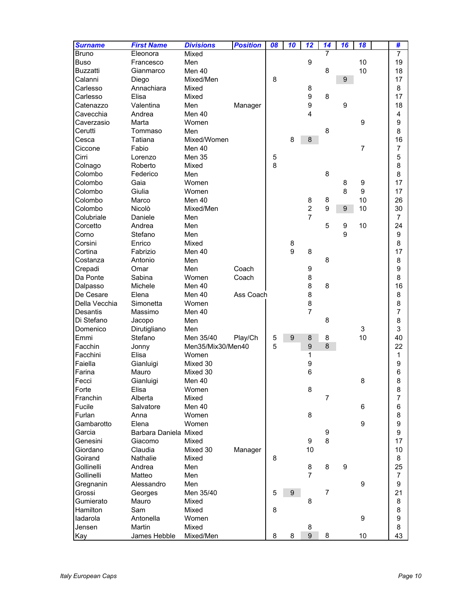| <b>Surname</b>      | <b>First Name</b>     | <b>Divisions</b>   | <b>Position</b> | 08 | 10 | 12               | 14               | 16               | 18 | #                |
|---------------------|-----------------------|--------------------|-----------------|----|----|------------------|------------------|------------------|----|------------------|
| <b>Bruno</b>        | Eleonora              | Mixed              |                 |    |    |                  | 7                |                  |    | 7                |
| <b>Buso</b>         | Francesco             | Men                |                 |    |    | 9                |                  |                  | 10 | 19               |
| <b>Buzzatti</b>     | Gianmarco             | Men 40             |                 |    |    |                  | 8                |                  | 10 | 18               |
| Calanni             | Diego                 | Mixed/Men          |                 | 8  |    |                  |                  | 9                |    | 17               |
| Carlesso            | Annachiara            | Mixed              |                 |    |    | 8                |                  |                  |    | 8                |
| Carlesso            | Elisa                 | Mixed              |                 |    |    | 9                | 8                |                  |    | 17               |
| Catenazzo           | Valentina             | Men                | Manager         |    |    | 9                |                  | 9                |    | 18               |
| Cavecchia           | Andrea                | Men 40             |                 |    |    | 4                |                  |                  |    | 4                |
| Caverzasio          | Marta                 | Women              |                 |    |    |                  |                  |                  | 9  | 9                |
| Cerutti             | Tommaso               | Men                |                 |    |    |                  | 8                |                  |    | 8                |
| Cesca               | Tatiana               | Mixed/Women        |                 |    | 8  | 8                |                  |                  |    | 16               |
| Ciccone             | Fabio                 | Men 40             |                 |    |    |                  |                  |                  | 7  | $\overline{7}$   |
| Cirri               | Lorenzo               | Men 35             |                 | 5  |    |                  |                  |                  |    | 5                |
| Colnago             | Roberto               | Mixed              |                 | 8  |    |                  |                  |                  |    | 8                |
| Colombo             | Federico              | Men                |                 |    |    |                  | 8                |                  |    | 8                |
| Colombo             | Gaia                  | Women              |                 |    |    |                  |                  | 8                | 9  | 17               |
| Colombo             | Giulia                | Women              |                 |    |    |                  |                  | 8                | 9  | 17               |
| Colombo             | Marco                 | Men 40             |                 |    |    | 8                | 8                |                  | 10 | 26               |
| Colombo             | Nicolò                | Mixed/Men          |                 |    |    | $\overline{c}$   | 9                | 9                | 10 | 30               |
| Colubriale          | Daniele               | Men                |                 |    |    | $\overline{7}$   |                  |                  |    | $\overline{7}$   |
| Corcetto            | Andrea                | Men                |                 |    |    |                  | 5                | $\boldsymbol{9}$ | 10 | 24               |
| Corno               | Stefano               | Men                |                 |    |    |                  |                  | 9                |    | 9                |
| Corsini             | Enrico                | Mixed              |                 |    | 8  |                  |                  |                  |    | 8                |
| Cortina             | Fabrizio              | Men 40             |                 |    | 9  | 8                |                  |                  |    | 17               |
| Costanza            | Antonio               | Men                |                 |    |    |                  | 8                |                  |    | 8                |
| Crepadi             | Omar                  | Men                | Coach           |    |    | 9                |                  |                  |    | 9                |
| Da Ponte            | Sabina                | Women              | Coach           |    |    | 8                |                  |                  |    | 8                |
| Dalpasso            | Michele               | Men 40             |                 |    |    | 8                | 8                |                  |    | 16               |
| De Cesare           | Elena                 | Men 40             | Ass Coach       |    |    | 8                |                  |                  |    | 8                |
| Della Vecchia       | Simonetta             | Women              |                 |    |    | 8                |                  |                  |    | 8                |
| <b>Desantis</b>     | Massimo               | Men 40             |                 |    |    | $\overline{7}$   |                  |                  |    | $\overline{7}$   |
| Di Stefano          | Jacopo                | Men                |                 |    |    |                  | 8                |                  |    | 8                |
| Domenico            | Dirutigliano          | Men                |                 |    |    |                  |                  |                  | 3  | 3                |
| Emmi                | Stefano               | Men 35/40          | Play/Ch         | 5  | 9  | 8                | 8                |                  | 10 | 40               |
| Facchin             | Jonny                 | Men35/Mix30/Men40  |                 | 5  |    | $\boldsymbol{9}$ | 8                |                  |    | 22               |
| Facchini            | Elisa                 | Women              |                 |    |    | 1                |                  |                  |    | 1                |
| Faiella             | Gianluigi             | Mixed 30           |                 |    |    | 9                |                  |                  |    | 9                |
| Farina              | Mauro                 | Mixed 30           |                 |    |    | $6\phantom{1}6$  |                  |                  |    | 6                |
| Fecci               | Gianluigi             | Men 40             |                 |    |    |                  |                  |                  | 8  | 8                |
| Forte               | Elisa                 | Women              |                 |    |    | 8                |                  |                  |    | 8                |
| Franchin            | Alberta               | Mixed              |                 |    |    |                  | $\overline{7}$   |                  |    | $\overline{7}$   |
| Fucile              | Salvatore             | Men 40             |                 |    |    |                  |                  |                  | 6  | 6                |
| Furlan              | Anna                  | Women              |                 |    |    | 8                |                  |                  |    | 8                |
| Gambarotto          | Elena                 | Women              |                 |    |    |                  |                  |                  | 9  | $\boldsymbol{9}$ |
| Garcia              | Barbara Daniela Mixed |                    |                 |    |    |                  | $\boldsymbol{9}$ |                  |    | 9                |
| Genesini            | Giacomo               | Mixed              |                 |    |    | 9                | 8                |                  |    | 17               |
| Giordano            | Claudia               | Mixed 30           | Manager         |    |    | 10               |                  |                  |    | 10               |
| Goirand             | <b>Nathalie</b>       | Mixed              |                 | 8  |    |                  |                  |                  |    | 8                |
| Gollinelli          | Andrea                | Men                |                 |    |    | 8                | 8                | $\boldsymbol{9}$ |    | 25               |
| Gollinelli          | Matteo                | Men                |                 |    |    | $\overline{7}$   |                  |                  |    | $\overline{7}$   |
|                     | Alessandro            | Men                |                 |    |    |                  |                  |                  | 9  | 9                |
| Gregnanin           |                       |                    |                 | 5  | 9  |                  | 7                |                  |    | 21               |
| Grossi<br>Gumierato | Georges<br>Mauro      | Men 35/40<br>Mixed |                 |    |    | 8                |                  |                  |    | 8                |
| Hamilton            | Sam                   | Mixed              |                 | 8  |    |                  |                  |                  |    | 8                |
|                     |                       |                    |                 |    |    |                  |                  |                  | 9  | 9                |
| ladarola            | Antonella<br>Martin   | Women<br>Mixed     |                 |    |    | 8                |                  |                  |    | 8                |
| Jensen              | James Hebble          | Mixed/Men          |                 | 8  | 8  | 9                | 8                |                  | 10 | 43               |
| Kay                 |                       |                    |                 |    |    |                  |                  |                  |    |                  |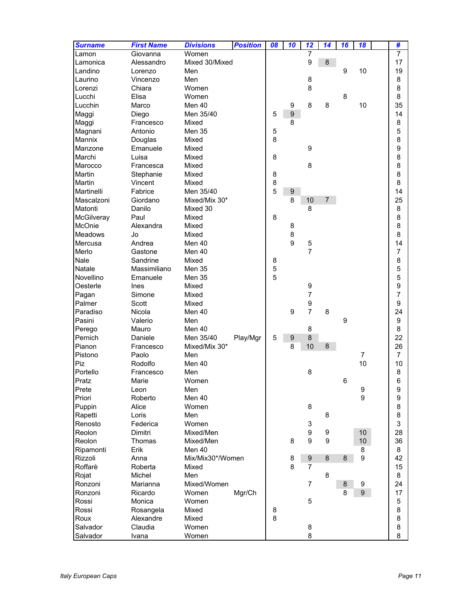| <b>Surname</b> | <b>First Name</b> | <b>Divisions</b> | <b>Position</b> | 08 | 10               | 12               | 14               | 16      | 18             | #              |
|----------------|-------------------|------------------|-----------------|----|------------------|------------------|------------------|---------|----------------|----------------|
| Lamon          | Giovanna          | Women            |                 |    |                  | $\overline{7}$   |                  |         |                | $\overline{7}$ |
| Lamonica       | Alessandro        | Mixed 30/Mixed   |                 |    |                  | 9                | 8                |         |                | 17             |
| Landino        | Lorenzo           | Men              |                 |    |                  |                  |                  | 9       | 10             | 19             |
| Laurino        | Vincenzo          | Men              |                 |    |                  | 8                |                  |         |                | 8              |
| Lorenzi        | Chiara            | Women            |                 |    |                  | 8                |                  |         |                | 8              |
| Lucchi         | Elisa             | Women            |                 |    |                  |                  |                  | 8       |                | 8              |
| Lucchin        | Marco             | Men 40           |                 |    | $\boldsymbol{9}$ | 8                | 8                |         | 10             | 35             |
| Maggi          | Diego             | Men 35/40        |                 | 5  | $\boldsymbol{9}$ |                  |                  |         |                | 14             |
| Maggi          | Francesco         | Mixed            |                 |    | 8                |                  |                  |         |                | 8              |
| Magnani        | Antonio           | Men 35           |                 | 5  |                  |                  |                  |         |                | 5              |
| Mannix         | Douglas           | Mixed            |                 | 8  |                  |                  |                  |         |                | 8              |
| Manzone        | Emanuele          | Mixed            |                 |    |                  | 9                |                  |         |                | 9              |
| Marchi         | Luisa             | Mixed            |                 | 8  |                  |                  |                  |         |                | 8              |
| Marocco        | Francesca         | Mixed            |                 |    |                  | 8                |                  |         |                | 8              |
| Martin         | Stephanie         | Mixed            |                 | 8  |                  |                  |                  |         |                | 8              |
| Martin         | Vincent           | Mixed            |                 | 8  |                  |                  |                  |         |                | 8              |
| Martinelli     | Fabrice           | Men 35/40        |                 | 5  | $\boldsymbol{9}$ |                  |                  |         |                | 14             |
| Mascalzoni     | Giordano          | Mixed/Mix 30*    |                 |    | 8                | 10               | $\overline{7}$   |         |                | 25             |
| Matonti        | Danilo            | Mixed 30         |                 |    |                  | 8                |                  |         |                | 8              |
| McGilveray     | Paul              | Mixed            |                 | 8  |                  |                  |                  |         |                | 8              |
| McOnie         | Alexandra         | Mixed            |                 |    | 8                |                  |                  |         |                | 8              |
| <b>Meadows</b> | Jo                | Mixed            |                 |    | 8                |                  |                  |         |                | 8              |
| Mercusa        | Andrea            | Men 40           |                 |    | 9                | $\mathbf 5$      |                  |         |                | 14             |
| Merlo          | Gastone           | Men 40           |                 |    |                  | $\overline{7}$   |                  |         |                | $\overline{7}$ |
| <b>Nale</b>    | Sandrine          | Mixed            |                 | 8  |                  |                  |                  |         |                | 8              |
| Natale         | Massimiliano      | Men 35           |                 | 5  |                  |                  |                  |         |                | 5              |
| Novellino      | Emanuele          | <b>Men 35</b>    |                 | 5  |                  |                  |                  |         |                | 5              |
| Oesterle       | Ines              | Mixed            |                 |    |                  | 9                |                  |         |                | 9              |
| Pagan          | Simone            | Mixed            |                 |    |                  | $\overline{7}$   |                  |         |                | $\overline{7}$ |
| Palmer         | Scott             | Mixed            |                 |    |                  | 9                |                  |         |                | 9              |
| Paradiso       | Nicola            | Men 40           |                 |    | 9                | $\overline{7}$   | 8                |         |                | 24             |
| Pasini         | Valerio           | Men              |                 |    |                  |                  |                  | 9       |                | 9              |
| Perego         | Mauro             | Men 40           |                 |    |                  | 8                |                  |         |                | 8              |
| Pernich        | Daniele           | Men 35/40        | Play/Mgr        | 5  | $\boldsymbol{9}$ | 8                |                  |         |                | 22             |
| Pianon         | Francesco         | Mixed/Mix 30*    |                 |    | 8                | 10               | $\boldsymbol{8}$ |         |                | 26             |
| Pistono        | Paolo             | Men              |                 |    |                  |                  |                  |         | $\overline{7}$ | $\overline{7}$ |
| Piz            | Rodolfo           | Men 40           |                 |    |                  |                  |                  |         | 10             | 10             |
| Portello       | Francesco         | Men              |                 |    |                  | 8                |                  |         |                | 8              |
| Pratz          | Marie             | Women            |                 |    |                  |                  |                  | 6       |                | 6              |
| Prete          | Leon              | Men              |                 |    |                  |                  |                  |         | 9              | 9              |
| Priori         | Roberto           | Men 40           |                 |    |                  |                  |                  |         | 9              | 9              |
| Puppin         | Alice             | Women            |                 |    |                  | 8                |                  |         |                | 8              |
| Rapetti        | Loris             | Men              |                 |    |                  |                  | 8                |         |                | 8              |
| Renosto        | Federica          | Women            |                 |    |                  | 3                |                  |         |                | 3              |
| Reolon         | Dimitri           | Mixed/Men        |                 |    |                  | $\boldsymbol{9}$ | 9                |         | 10             | 28             |
| Reolon         | Thomas            | Mixed/Men        |                 |    | 8                | 9                | 9                |         | 10             | 36             |
| Ripamonti      | Erik              | Men 40           |                 |    |                  |                  |                  |         | 8              | 8              |
| Rizzoli        | Anna              | Mix/Mix30*/Women |                 |    | 8                | $\boldsymbol{9}$ | $\bf 8$          | $\bf 8$ | 9              | 42             |
| Roffarè        | Roberta           | Mixed            |                 |    | 8                | $\overline{7}$   |                  |         |                | 15             |
| Rojat          | Michel            | Men              |                 |    |                  |                  | 8                |         |                | 8              |
| Ronzoni        | Marianna          | Mixed/Women      |                 |    |                  | $\overline{7}$   |                  | 8       | 9              | 24             |
| Ronzoni        | Ricardo           | Women            | Mgr/Ch          |    |                  |                  |                  | 8       | $\overline{9}$ | 17             |
| Rossi          | Monica            | Women            |                 |    |                  | 5                |                  |         |                | 5              |
| Rossi          | Rosangela         | Mixed            |                 | 8  |                  |                  |                  |         |                | 8              |
| Roux           | Alexandre         | Mixed            |                 | 8  |                  |                  |                  |         |                | 8              |
| Salvador       | Claudia           | Women            |                 |    |                  | 8                |                  |         |                | 8              |
| Salvador       | Ivana             | Women            |                 |    |                  | 8                |                  |         |                | 8              |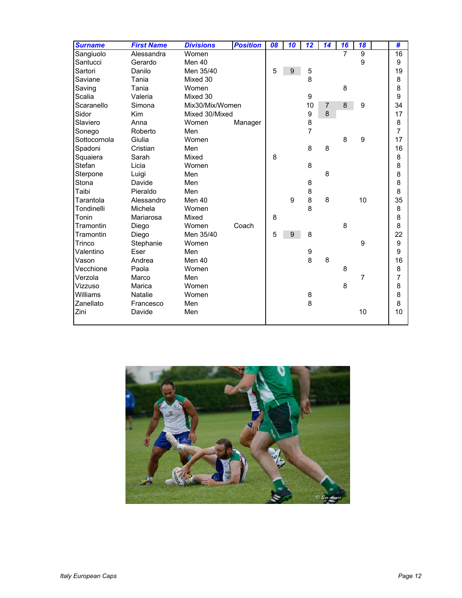| <b>Surname</b> | <b>First Name</b> | <b>Divisions</b> | <b>Position</b> | 08 | 10 | 12             | 14 | 16             | 18             | #                |
|----------------|-------------------|------------------|-----------------|----|----|----------------|----|----------------|----------------|------------------|
| Sangiuolo      | Alessandra        | Women            |                 |    |    |                |    | $\overline{7}$ | $\overline{9}$ | $\overline{16}$  |
| Santucci       | Gerardo           | Men 40           |                 |    |    |                |    |                | 9              | 9                |
| Sartori        | Danilo            | Men 35/40        |                 | 5  | 9  | 5              |    |                |                | 19               |
| Saviane        | Tania             | Mixed 30         |                 |    |    | 8              |    |                |                | 8                |
| Saving         | Tania             | Women            |                 |    |    |                |    | 8              |                | 8                |
| Scalia         | Valeria           | Mixed 30         |                 |    |    | 9              |    |                |                | 9                |
| Scaranello     | Simona            | Mix30/Mix/Women  |                 |    |    | 10             | 7  | 8              | 9              | 34               |
| Sidor          | <b>Kim</b>        | Mixed 30/Mixed   |                 |    |    | 9              | 8  |                |                | 17               |
| Slaviero       | Anna              | Women            | Manager         |    |    | 8              |    |                |                | 8                |
| Sonego         | Roberto           | Men              |                 |    |    | $\overline{7}$ |    |                |                | $\overline{7}$   |
| Sottocornola   | Giulia            | Women            |                 |    |    |                |    | 8              | 9              | 17               |
| Spadoni        | Cristian          | Men              |                 |    |    | 8              | 8  |                |                | 16               |
| Squaiera       | Sarah             | Mixed            |                 | 8  |    |                |    |                |                | 8                |
| Stefan         | Licia             | Women            |                 |    |    | 8              |    |                |                | 8                |
| Sterpone       | Luigi             | Men              |                 |    |    |                | 8  |                |                | 8                |
| Stona          | Davide            | Men              |                 |    |    | 8              |    |                |                | 8                |
| Taibi          | Pieraldo          | Men              |                 |    |    | 8              |    |                |                | 8                |
| Tarantola      | Alessandro        | Men 40           |                 |    | 9  | 8              | 8  |                | 10             | 35               |
| Tondinelli     | Michela           | Women            |                 |    |    | 8              |    |                |                | 8                |
| Tonin          | Mariarosa         | Mixed            |                 | 8  |    |                |    |                |                | 8                |
| Tramontin      | Diego             | Women            | Coach           |    |    |                |    | 8              |                | 8                |
| Tramontin      | Diego             | Men 35/40        |                 | 5  | 9  | 8              |    |                |                | 22               |
| Trinco         | Stephanie         | Women            |                 |    |    |                |    |                | 9              | $\boldsymbol{9}$ |
| Valentino      | Eser              | Men              |                 |    |    | 9              |    |                |                | 9                |
| Vason          | Andrea            | Men 40           |                 |    |    | 8              | 8  |                |                | 16               |
| Vecchione      | Paola             | Women            |                 |    |    |                |    | 8              |                | 8                |
| Verzola        | Marco             | Men              |                 |    |    |                |    |                | 7              | 7                |
| Vizzuso        | Marica            | Women            |                 |    |    |                |    | 8              |                | 8                |
| Williams       | <b>Natalie</b>    | Women            |                 |    |    | 8              |    |                |                | 8                |
| Zanellato      | Francesco         | Men              |                 |    |    | 8              |    |                |                | 8                |
| Zini           | Davide            | Men              |                 |    |    |                |    |                | 10             | 10               |
|                |                   |                  |                 |    |    |                |    |                |                |                  |